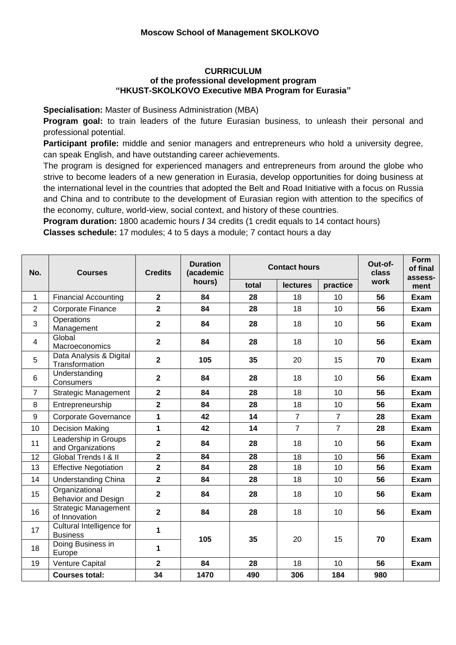## **CURRICULUM of the professional development program "HKUST-SKOLKOVO Executive MBA Program for Eurasia"**

**Specialisation:** Master of Business Administration (MBA)

**Program goal:** to train leaders of the future Eurasian business, to unleash their personal and professional potential.

**Participant profile:** middle and senior managers and entrepreneurs who hold a university degree, can speak English, and have outstanding career achievements.

The program is designed for experienced managers and entrepreneurs from around the globe who strive to become leaders of a new generation in Eurasia, develop opportunities for doing business at the international level in the countries that adopted the Belt and Road Initiative with a focus on Russia and China and to contribute to the development of Eurasian region with attention to the specifics of the economy, culture, world-view, social context, and history of these countries.

**Program duration:** 1800 academic hours **/** 34 credits (1 credit equals to 14 contact hours)

**Classes schedule:** 17 modules; 4 to 5 days a module; 7 contact hours a day

| No.            | <b>Courses</b>                               | <b>Credits</b>          | <b>Duration</b><br>(academic<br>hours) | <b>Contact hours</b> |                 |                | Out-of-<br>class | <b>Form</b><br>of final<br>assess- |
|----------------|----------------------------------------------|-------------------------|----------------------------------------|----------------------|-----------------|----------------|------------------|------------------------------------|
|                |                                              |                         |                                        | total                | <b>lectures</b> | practice       | work             | ment                               |
| $\mathbf 1$    | <b>Financial Accounting</b>                  | $\mathbf{2}$            | 84                                     | 28                   | 18              | 10             | 56               | Exam                               |
| $\overline{2}$ | <b>Corporate Finance</b>                     | $\overline{\mathbf{2}}$ | 84                                     | 28                   | 18              | 10             | 56               | Exam                               |
| 3              | Operations<br>Management                     | $\overline{2}$          | 84                                     | 28                   | 18              | 10             | 56               | Exam                               |
| 4              | Global<br>Macroeconomics                     | $\overline{2}$          | 84                                     | 28                   | 18              | 10             | 56               | Exam                               |
| 5              | Data Analysis & Digital<br>Transformation    | $\overline{\mathbf{2}}$ | 105                                    | 35                   | 20              | 15             | 70               | Exam                               |
| 6              | Understanding<br>Consumers                   | $\overline{2}$          | 84                                     | 28                   | 18              | 10             | 56               | Exam                               |
| $\overline{7}$ | <b>Strategic Management</b>                  | $\overline{2}$          | 84                                     | 28                   | 18              | 10             | 56               | Exam                               |
| 8              | Entrepreneurship                             | $\overline{\mathbf{2}}$ | 84                                     | 28                   | 18              | 10             | 56               | Exam                               |
| 9              | <b>Corporate Governance</b>                  | 1                       | 42                                     | 14                   | $\overline{7}$  | $\overline{7}$ | 28               | Exam                               |
| 10             | <b>Decision Making</b>                       | $\mathbf{1}$            | 42                                     | 14                   | $\overline{7}$  | $\overline{7}$ | 28               | Exam                               |
| 11             | Leadership in Groups<br>and Organizations    | $\overline{2}$          | 84                                     | 28                   | 18              | 10             | 56               | Exam                               |
| 12             | Global Trends   & II                         | $\overline{\mathbf{2}}$ | 84                                     | 28                   | 18              | 10             | 56               | Exam                               |
| 13             | <b>Effective Negotiation</b>                 | $\overline{\mathbf{2}}$ | 84                                     | 28                   | 18              | 10             | 56               | Exam                               |
| 14             | <b>Understanding China</b>                   | $\overline{\mathbf{2}}$ | 84                                     | 28                   | 18              | 10             | 56               | Exam                               |
| 15             | Organizational<br>Behavior and Design        | $\mathbf{2}$            | 84                                     | 28                   | 18              | 10             | 56               | Exam                               |
| 16             | Strategic Management<br>of Innovation        | $\overline{2}$          | 84                                     | 28                   | 18              | 10             | 56               | Exam                               |
| 17             | Cultural Intelligence for<br><b>Business</b> | 1                       | 105                                    | 35                   | 20              | 15             | 70               | Exam                               |
| 18             | Doing Business in<br>Europe                  | 1                       |                                        |                      |                 |                |                  |                                    |
| 19             | Venture Capital                              | $\overline{2}$          | 84                                     | 28                   | 18              | 10             | 56               | <b>Exam</b>                        |
|                | <b>Courses total:</b>                        | 34                      | 1470                                   | 490                  | 306             | 184            | 980              |                                    |